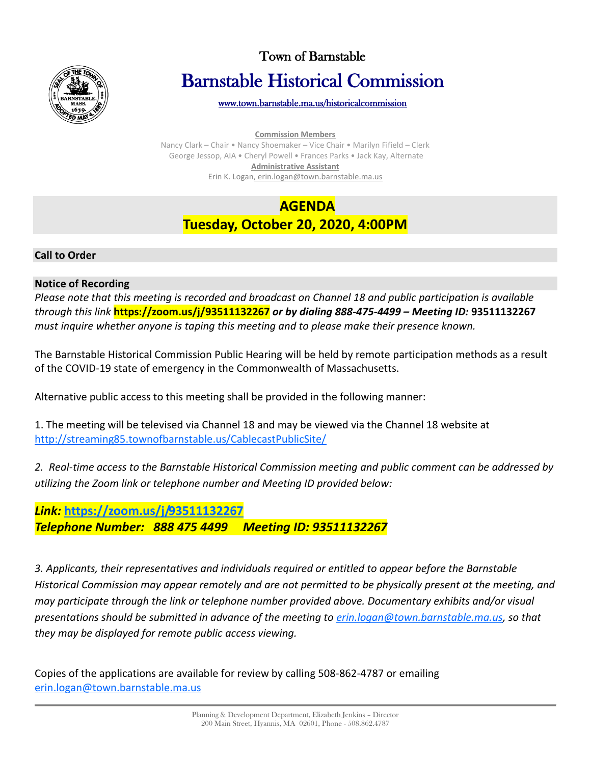

# Town of Barnstable Barnstable Historical Commission

[www.town.barnstable.ma.us/historicalcommission](http://www.town.barnstable.ma.us/historicalcommission) 

**Commission Members**

Nancy Clark – Chair • Nancy Shoemaker – Vice Chair • Marilyn Fifield – Clerk George Jessop, AIA • Cheryl Powell • Frances Parks • Jack Kay, Alternate **Administrative Assistant** Erin K. Logan, erin.logan@town.barnstable.ma.us

## **AGENDA Tuesday, October 20, 2020, 4:00PM**

#### **Call to Order**

#### **Notice of Recording**

*Please note that this meeting is recorded and broadcast on Channel 18 and public participation is available through this link* **https://zoom.us/j/93511132267** *or by dialing 888-475-4499 – Meeting ID:* **93511132267** *must inquire whether anyone is taping this meeting and to please make their presence known.*

The Barnstable Historical Commission Public Hearing will be held by remote participation methods as a result of the COVID-19 state of emergency in the Commonwealth of Massachusetts.

Alternative public access to this meeting shall be provided in the following manner:

1. The meeting will be televised via Channel 18 and may be viewed via the Channel 18 website at <http://streaming85.townofbarnstable.us/CablecastPublicSite/>

*2. Real-time access to the Barnstable Historical Commission meeting and public comment can be addressed by utilizing the Zoom link or telephone number and Meeting ID provided below:*

### *Link:* **<https://zoom.us/j/93511132267>** *Telephone Number: 888 475 4499 Meeting ID: 93511132267*

*3. Applicants, their representatives and individuals required or entitled to appear before the Barnstable Historical Commission may appear remotely and are not permitted to be physically present at the meeting, and may participate through the link or telephone number provided above. Documentary exhibits and/or visual presentations should be submitted in advance of the meeting to [erin.logan@town.barnstable.ma.us,](mailto:erin.logan@town.barnstable.ma.us) so that they may be displayed for remote public access viewing.*

Copies of the applications are available for review by calling 508-862-4787 or emailing [erin.logan@town.barnstable.ma.us](mailto:erin.logan@town.barnstable.ma.us)